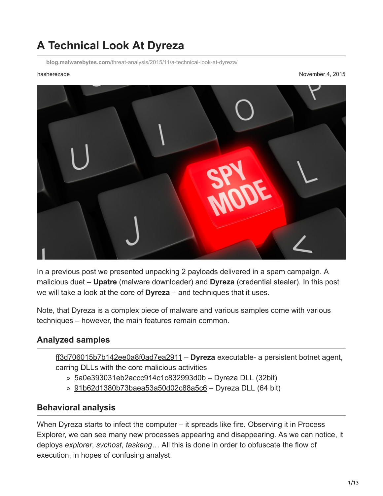# **A Technical Look At Dyreza**

**blog.malwarebytes.com**[/threat-analysis/2015/11/a-technical-look-at-dyreza/](https://blog.malwarebytes.com/threat-analysis/2015/11/a-technical-look-at-dyreza/)

hasherezade November 4, 2015



In a [previous post](https://blog.malwarebytes.org/intelligence/2015/10/unpacking-fraudulent-fax-dyreza-malware-from-spam/) we presented unpacking 2 payloads delivered in a spam campaign. A malicious duet – **Upatre** (malware downloader) and **Dyreza** (credential stealer). In this post we will take a look at the core of **Dyreza** – and techniques that it uses.

Note, that Dyreza is a complex piece of malware and various samples come with various techniques – however, the main features remain common.

#### **Analyzed samples**

[ff3d706015b7b142ee0a8f0ad7ea2911](https://www.virustotal.com/en/file/4853906a5ff7b3984d7536d469129a4905d68e8b8cbde75fbef022954a09b89f/analysis/) – **Dyreza** executable- a persistent botnet agent, carring DLLs with the core malicious activities

- $\circ$  [5a0e393031eb2accc914c1c832993d0b](https://www.virustotal.com/en/file/28db05ba075dd262878dcc4a16e639b197ffb45814d94b844820a173f8e68ce5/analysis/1446569055/#) Dyreza DLL (32bit)
- o [91b62d1380b73baea53a50d02c88a5c6](https://www.virustotal.com/en/file/49bf12a39c7634ca1cc2e82644de6a4c297879be883c5c1ab3ae1494eca2bc21/analysis/1446569125/)  Dyreza DLL (64 bit)

#### **Behavioral analysis**

When Dyreza starts to infect the computer – it spreads like fire. Observing it in Process Explorer, we can see many new processes appearing and disappearing. As we can notice, it deploys *explorer*, *svchost*, *taskeng*… All this is done in order to obfuscate the flow of execution, in hopes of confusing analyst.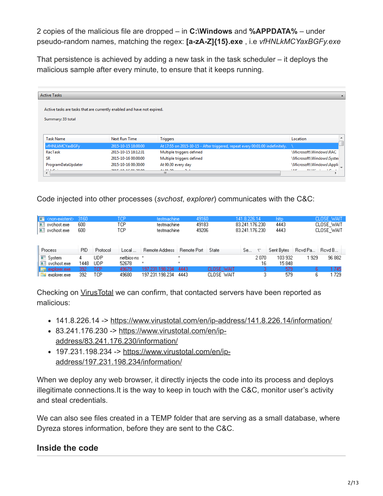2 copies of the malicious file are dropped – in **C:\Windows** and **%APPDATA%** – under pseudo-random names, matching the regex: **[a-zA-Z]{15}.exe** , i.e *vfHNLkMCYaxBGFy.exe*

That persistence is achieved by adding a new task in the task scheduler – it deploys the malicious sample after every minute, to ensure that it keeps running.

| <b>Active Tasks</b>       |                                                                         |                                                                               |                                            |  |  |  |  |  |
|---------------------------|-------------------------------------------------------------------------|-------------------------------------------------------------------------------|--------------------------------------------|--|--|--|--|--|
|                           |                                                                         |                                                                               |                                            |  |  |  |  |  |
|                           | Active tasks are tasks that are currently enabled and have not expired. |                                                                               |                                            |  |  |  |  |  |
| Summary: 33 total         |                                                                         |                                                                               |                                            |  |  |  |  |  |
|                           |                                                                         |                                                                               |                                            |  |  |  |  |  |
|                           |                                                                         |                                                                               |                                            |  |  |  |  |  |
| <b>Task Name</b>          | Next Run Time                                                           | <b>Triggers</b>                                                               | Location                                   |  |  |  |  |  |
| vfHNLkMCYaxBGFy           | 2015-10-15 18:00:00                                                     | At 17:55 on 2015-10-15 - After triggered, repeat every 00:01:00 indefinitely. |                                            |  |  |  |  |  |
| RacTask                   | 2015-10-15 18:12:31                                                     | Multiple triggers defined                                                     | \Microsoft\Windows\RAC                     |  |  |  |  |  |
| <b>SR</b>                 | 2015-10-16 00:00:00                                                     | Multiple triggers defined                                                     | \Microsoft\Windows\Syster                  |  |  |  |  |  |
| ProgramDataUpdater        | 2015-10-16 00:30:00                                                     | At 00:30 every day                                                            | \Microsoft\Windows\Appli                   |  |  |  |  |  |
| 11.1222<br>$\overline{ }$ | 3015-10-16-01-30-00                                                     | A + 04 DO<br>$\sim$<br>ш                                                      | <b>CASAR ILL SOCI</b><br>ALC: NO<br>$\sim$ |  |  |  |  |  |
|                           |                                                                         |                                                                               |                                            |  |  |  |  |  |

Code injected into other processes (*svchost*, *explorer*) communicates with the C&C:

| $\Box$ <non-existent><br/><math>\blacksquare</math> sychost.exe<br/><math>\blacksquare</math> sychost.exe</non-existent> | -3160<br>600<br>600 |                          | TCP<br>TCP<br>TCP     | testmachine<br>testmachine<br>testmachine | 49160<br>49183<br>49206        |                          | 141.8.226.14<br>83.241.176.230<br>83.241.176.230 |            | http.<br>4443<br>4443 |         | CLOSE WAIT,<br>CLOSE WAIT<br>CLOSE WAIT |
|--------------------------------------------------------------------------------------------------------------------------|---------------------|--------------------------|-----------------------|-------------------------------------------|--------------------------------|--------------------------|--------------------------------------------------|------------|-----------------------|---------|-----------------------------------------|
| Process                                                                                                                  | PID.                | Protocol                 | Local                 | <b>Remote Address</b>                     | Remote Port                    | State                    | Se                                               |            | Sent Bytes            | Royd Pa | Revd B                                  |
| <sup>t</sup> ■ System<br>$\mathop\square$ svchost.exe                                                                    | 4<br>1448           | <b>UDP</b><br><b>UDP</b> | netbios-ns *<br>52678 | ×                                         | $\boldsymbol{\mathsf{x}}$<br>× |                          |                                                  | 2070<br>16 | 103 932<br>15848      | 929     | 96 882                                  |
| $\left  \rule{0.3cm}{.0cm} \right $ explorer exe $\blacktriangle$<br>explorer.exe                                        | 392.<br>392.        | TCP<br>TCP               | 49679<br>49680        | 197.231.198.234<br>197.231.198.234        | 4443<br>4443                   | CLOSE WAIT<br>CLOSE WAIT |                                                  | 3          | 579<br>579            | 6.      | 1745<br>729                             |

Checking on [VirusTotal](https://www.virustotal.com/) we can confirm, that contacted servers have been reported as malicious:

- 141.8.226.14 -> <https://www.virustotal.com/en/ip-address/141.8.226.14/information/>
- [83.241.176.230 -> https://www.virustotal.com/en/ip](https://www.virustotal.com/en/ip-address/83.241.176.230/information/)address/83.241.176.230/information/
- [197.231.198.234 -> https://www.virustotal.com/en/ip](https://www.virustotal.com/en/ip-address/197.231.198.234/information/)address/197.231.198.234/information/

When we deploy any web browser, it directly injects the code into its process and deploys illegitimate connections.It is the way to keep in touch with the C&C, monitor user's activity and steal credentials.

We can also see files created in a TEMP folder that are serving as a small database, where Dyreza stores information, before they are sent to the C&C.

## **Inside the code**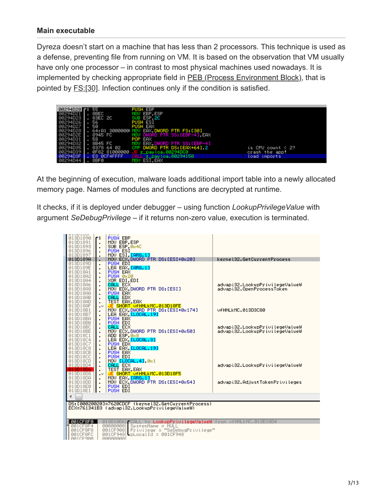#### **Main executable**

Dyreza doesn't start on a machine that has less than 2 processors. This technique is used as a defense, preventing file from running on VM. It is based on the observation that VM usually have only one processor – in contrast to most physical machines used nowadays. It is implemented by checking appropriate field in **PEB (Process Environment Block)**, that is pointed by **FS:[30]**. Infection continues only if the condition is satisfied.



At the beginning of execution, malware loads additional import table into a newly allocated memory page. Names of modules and functions are decrypted at runtime.

It checks, if it is deployed under debugger – using function *LookupPrivilegeValue* with argument *SeDebugPrivilege* – if it returns non-zero value, execution is terminated.

| <b>ATADIOA</b><br>013D1890<br>013D1891<br>013D1893<br>013D1896<br>013D1897                                           | ٢ŝ<br>$\blacksquare$<br>$\blacksquare$                                                 | TIII A<br><b>PUSH EBP</b><br>MOV EBP, ESP<br>SUB ESP, 0x4C<br>PUSH ESI<br>MOV ESI [ARG.1]                                                                                                                                 |                                                                  |
|----------------------------------------------------------------------------------------------------------------------|----------------------------------------------------------------------------------------|---------------------------------------------------------------------------------------------------------------------------------------------------------------------------------------------------------------------------|------------------------------------------------------------------|
| 013D189A                                                                                                             | $\cdot$                                                                                | MOV ECX, DWORD PTR DS: [ESI+0x20]                                                                                                                                                                                         | kernel32.GetCurrentProcess                                       |
| 013D189D<br>013D189E<br>013D18A1<br>013D18A2<br>013D18A4<br>013D18A6<br>013D18A8<br>013D18AA<br>013D18AB<br>013D18AD | $\blacksquare$<br>$\blacksquare$<br>$\blacksquare$<br>$\blacksquare$<br>$\blacksquare$ | PUSH EDI<br>LEA EAX, CARG. 1]<br>PUSH EAX<br><b>PUSH 0x20</b><br>XOR EDI, EDI<br>CALL ECX<br>MOV EDX.DWORD PTR DS: [ESI]<br><b>PUSH EAX</b><br>CALL EDX<br>TEST EAX, EAX                                                  | advapi32.LookupPrivilegeValueW<br>advapi32.OpenProcessToken      |
| 013D18AF<br>013D18B1<br>013D18B7<br>013D18BA<br>013D18BB                                                             | $\cdot$<br>$\blacksquare$<br>٠<br>$\blacksquare$<br>٠                                  | JE SHORT VFHNLkMC.013D18FE<br>MOU ECX, DWORD PTR DS: [ESI+0x174]<br>LEA EAX [LOCAL.19]<br><b>PUSH EAX</b><br>PUSH EDI                                                                                                     | UFHNLkMC.013D3C80                                                |
| 013D18BC<br>013D18BE<br>013D18C1<br>013D18C4<br>013D18C7<br>013D18C8<br>013D18CB<br>013D18CC                         | $\blacksquare$<br>$\blacksquare$<br>$\blacksquare$<br>$\blacksquare$                   | CALL ECX<br>MOU ECX, DWORD PTR DS: [ESI+0x50]<br>ADD ESP,0x8<br>LEA EDX, <mark>[LOCAL.3]</mark><br>PUSH EDX<br>LEA EAX, LLOCAL. 19J<br>PUSH EAX<br>PUSH EDI                                                               | advapi32.LookupPrivilegeValueW<br>advapi32.LookupPrivilegeValueW |
| 013D18CD<br>013D18D4<br>013D18D6<br>013D18D8                                                                         | $\blacksquare$<br>ا ۷۰.                                                                | MOU ELOCAL.41 0x1<br>CALL ECX<br>TEST EAX, EAX<br><mark>JE SHORT vfHNLkMC.013D18F5</mark><br>MOV EAX, <mark>[ARG.1]</mark>                                                                                                | advapi32.LookupPrivilegeValueW                                   |
| 013D18DA<br>013D18DD<br>013D18E0<br>013D18E1                                                                         | $\blacksquare$<br>$\blacksquare$                                                       | MOU ECX DWORD PTR DS: [ESI+0x54]<br>PUSH EDI<br><b>PUSH EDI</b>                                                                                                                                                           | advapi32.AdjustTokenPrivileges                                   |
|                                                                                                                      |                                                                                        |                                                                                                                                                                                                                           |                                                                  |
|                                                                                                                      |                                                                                        | DS:[00020020]=7620CDCF (kernel32.GetCurrentProcess)<br>ECX=761341B3 (advapi32.LookupPrivilegeValueW)                                                                                                                      |                                                                  |
| 001CF8F0  <br>001CF8F4<br>001CF8F8<br>001CF8FC<br>AA1CE9AA                                                           |                                                                                        | 013D18D6 CALL to LookupPrivilegeValueW from vfHNLkMC.013D18D4<br>00000000<br>SystemName = NULL<br>$Privilege = "SeDebugPrivilege"$<br>001CF908<br>001CF948<br>$\blacksquare$ p $\mathsf{LocalId}$ = 001CF948<br>aaaaaaaal |                                                                  |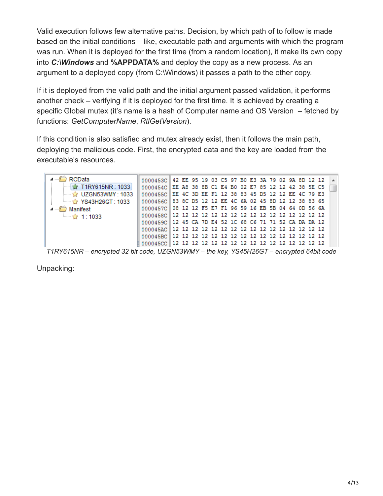Valid execution follows few alternative paths. Decision, by which path of to follow is made based on the initial conditions – like, executable path and arguments with which the program was run. When it is deployed for the first time (from a random location), it make its own copy into *C:\Windows* and **%APPDATA%** and deploy the copy as a new process. As an argument to a deployed copy (from C:\Windows) it passes a path to the other copy.

If it is deployed from the valid path and the initial argument passed validation, it performs another check – verifying if it is deployed for the first time. It is achieved by creating a specific Global mutex (it's name is a hash of Computer name and OS Version – fetched by functions: *GetComputerName*, *RtlGetVersion*).

If this condition is also satisfied and mutex already exist, then it follows the main path, deploying the malicious code. First, the encrypted data and the key are loaded from the executable's resources.

| RCData                                                                                   | 0000453C 42 EE 95 19 03 C5 97 B0 E3 3A 79 02 9A 8D 12 12   |  |  |  |  |  |  |  |  |  |  |  |  |
|------------------------------------------------------------------------------------------|------------------------------------------------------------|--|--|--|--|--|--|--|--|--|--|--|--|
| $\sim$ T1RY615NR : 1033                                                                  | 0000454C EE A8 38 8B C1 E4 B0 02 E7 85 12 12 42 38 5E C5   |  |  |  |  |  |  |  |  |  |  |  |  |
| $\rightarrow$ UZGN53WMY: 1033                                                            | 0000455C EE 4C 3D EE F1 12 38 83 45 D5 12 12 EE 4C 79 E3   |  |  |  |  |  |  |  |  |  |  |  |  |
| ै YS43H26GT : 1033                                                                       | 0000456C 83 8C D5 12 12 EE 4C 6A 02 45 8D 12 12 38 83 65   |  |  |  |  |  |  |  |  |  |  |  |  |
| Manifest                                                                                 | 0000457C 08 12 12 F5 E7 F1 96 59 16 EB 5B 04 64 0D 56 6A   |  |  |  |  |  |  |  |  |  |  |  |  |
| ैय: 1:1033                                                                               |                                                            |  |  |  |  |  |  |  |  |  |  |  |  |
|                                                                                          | 0000459C   12 45 CA 7D E4 52 1C 68 C6 71 71 52 CA DA DA 12 |  |  |  |  |  |  |  |  |  |  |  |  |
|                                                                                          |                                                            |  |  |  |  |  |  |  |  |  |  |  |  |
|                                                                                          |                                                            |  |  |  |  |  |  |  |  |  |  |  |  |
|                                                                                          |                                                            |  |  |  |  |  |  |  |  |  |  |  |  |
| T1RY615NR – encrypted 32 bit code, UZGN53WMY – the key, YS45H26GT – encrypted 64bit code |                                                            |  |  |  |  |  |  |  |  |  |  |  |  |

Unpacking: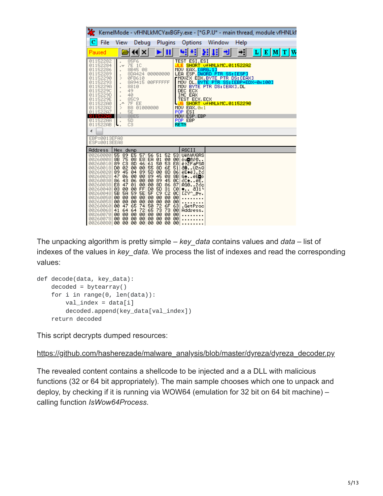|                                                                                                                                                                                                                                           |                                                                                                                                                                                                     |                                                                                                                                                                  |                                                                                                                                                                    |                                                                                                                            |                                                                                                                                                                                                                                                         |                          |      | KernelMode - vfHNLkMCYaxBGFy.exe - [*G.P.U* - main thread, module vfHNLkl    |  |
|-------------------------------------------------------------------------------------------------------------------------------------------------------------------------------------------------------------------------------------------|-----------------------------------------------------------------------------------------------------------------------------------------------------------------------------------------------------|------------------------------------------------------------------------------------------------------------------------------------------------------------------|--------------------------------------------------------------------------------------------------------------------------------------------------------------------|----------------------------------------------------------------------------------------------------------------------------|---------------------------------------------------------------------------------------------------------------------------------------------------------------------------------------------------------------------------------------------------------|--------------------------|------|------------------------------------------------------------------------------|--|
| File                                                                                                                                                                                                                                      | View                                                                                                                                                                                                | Debug                                                                                                                                                            |                                                                                                                                                                    | Plugins                                                                                                                    |                                                                                                                                                                                                                                                         | Options Window           | Help |                                                                              |  |
| Paused                                                                                                                                                                                                                                    |                                                                                                                                                                                                     | piki×i                                                                                                                                                           |                                                                                                                                                                    | ≻⊞∣                                                                                                                        | 베세                                                                                                                                                                                                                                                      | 비대 케                     | →¦   | L E[M]                                                                       |  |
| 01152282<br>01152284<br>01152286<br>01152289<br>01152290<br>01152293<br>0115229A<br>01152290<br>0115229D<br>0115229E<br>011522A0<br>011522A2<br>011522A7<br>o i Iszane<br>011522AA<br>011522AB<br>∢<br>EBP=0013EFA8                       | . √<br>$\blacksquare$<br>$\blacksquare$<br>$\geq$<br>$\bar{a}$<br>$\bar{a}$<br>$\blacksquare$<br>$\blacksquare$<br>×<br>$\overline{\phantom{a}}$<br>⋗<br>$\bar{a}$<br>٠<br>$\overline{\phantom{a}}$ | 85F6<br>7E 1C<br>8B45 08<br>8DA424 00000000<br>0FB610<br>8A9415<br>8810<br>49<br>40<br>85C9<br>7F EE<br>B8 01000000<br>5E<br>8BE5<br><b>5D</b><br>C <sub>3</sub> | 00FFFFFFF                                                                                                                                                          |                                                                                                                            | <b>TEST ESI, ESI</b><br>JLE SHORT OFHNLKMC.011522A2<br>MOV EAX <b>[ARG.1]</b><br>LEA ESP, DWORD PTR SS:[ESP]<br>┏MOVZX ĖDX,BYTE PTR DS:[EAX]<br>DEC ECX<br>INC EAX<br>TEST ECX, ECX<br>MOV EAX.0x1<br>POP ESI<br>MOU ESP, EBP<br>POP EBP<br><b>RETN</b> | SHORT OFHNERMC. 01152290 |      | MÖV DL, <mark>BYTE PTR SS:[EBP∓EDX−0x100]</mark><br>MOV BYTE PTR DS:[EAX],DL |  |
| ESP=0013EEA8                                                                                                                                                                                                                              |                                                                                                                                                                                                     |                                                                                                                                                                  |                                                                                                                                                                    |                                                                                                                            |                                                                                                                                                                                                                                                         |                          |      |                                                                              |  |
| Address                                                                                                                                                                                                                                   | Hex dump                                                                                                                                                                                            |                                                                                                                                                                  |                                                                                                                                                                    |                                                                                                                            | <b>ASCII</b><br><b>UëňWVQRS</b>                                                                                                                                                                                                                         |                          |      |                                                                              |  |
| 00260000 55 89 E5 57<br>00260008<br>00260010<br>00260018<br>00260020<br>00260028<br>00260030<br>002600381<br>00260040 03<br>00260048<br>00260050 00 00<br>00260058<br>00260060 00<br>00260068<br>002600701<br>002600781<br>00260080 00 00 | 02<br>DØ<br>$\overline{89}$<br>45<br>47<br>06<br>$_{E8}^{86}$<br>43<br>47<br>-00<br>5A<br>5B<br>00<br>00<br>47<br>41<br>64<br>00<br>00<br>00 00                                                     | 55 89 E5 57 56 51<br>88 75 88 E8 EA 01<br>89 C3 80 46 61 50<br>00<br>04<br>00<br>$\frac{86}{01}$<br>00<br>59<br>00<br>00<br>65<br>64<br>00<br>00<br>00<br>øø     | 1888861<br>1888861<br>1888861<br>80<br>45<br>$\frac{85}{80}$<br>SD<br>09<br>00<br>) 소영영업구(S)<br>) 다음영영국 (<br>00<br>74 50 72<br>72 65 73<br>00 00 00 00<br>øø<br>øø | 52<br>53<br>18851888<br>08875888<br>$\frac{45}{86}$<br>80<br>87<br>35688635<br>73 00<br>00<br>00<br>00<br>00<br>-00<br>øøl | öu⊡Rř0<br>ë⊦2FaPSR<br>d <b>e</b> U2nQ<br>ëE <b>+</b> ë].2d<br>G+ëEDö<br>∂C♠ëĒ.<br>RG02cc<br>$\bullet$ 811 <sup>t</sup><br>$LZY^{\wedge}$ Fr.<br>.GetProc<br>Addres<br>.                                                                                 |                          |      |                                                                              |  |

The unpacking algorithm is pretty simple – *key\_data* contains values and *data* – list of indexes of the values in *key\_data.* We process the list of indexes and read the corresponding values:

```
def decode(data, key_data):
decoded = bytearray()for i in range(0, len(data)):
     val\_index = data[i]decoded.append(key_data[val_index])
 return decoded
```
This script decrypts dumped resources:

```
https://github.com/hasherezade/malware_analysis/blob/master/dyreza/dyreza_decoder.py
```
The revealed content contains a shellcode to be injected and a a DLL with malicious functions (32 or 64 bit appropriately). The main sample chooses which one to unpack and deploy, by checking if it is running via WOW64 (emulation for 32 bit on 64 bit machine) – calling function *IsWow64Process*.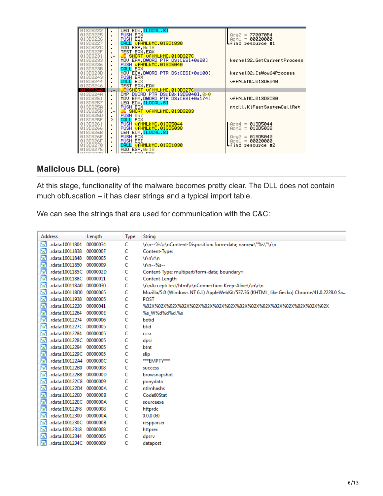

## **Malicious DLL (core)**

At this stage, functionality of the malware becomes pretty clear. The DLL does not contain much obfuscation – it has clear strings and a typical import table.

We can see the strings that are used for communication with the C&C:

| <b>Address</b>                                      | Length   | <b>Type</b> | String                                                                                    |
|-----------------------------------------------------|----------|-------------|-------------------------------------------------------------------------------------------|
| 's'<br>.rdata:10011804                              | 00000034 | c           | \r\n--%s\r\nContent-Disposition: form-data; name=\"%s\"\r\n                               |
| $\overline{\mathbf{s}}$<br>.rdata:10011838          | 0000000F | c           | Content-Type:                                                                             |
| 's'<br>rdata:10011848                               | 00000005 | c           | \r\n\r\n                                                                                  |
| <b>is</b><br>.rdata:10011850                        | 00000009 | c           | \r\n -- %s --                                                                             |
| $\overline{\mathbf{s}}$<br>.rdata:1001185C 0000002D |          | C           | Content-Type: multipart/form-data; boundary=                                              |
| r <sub>s</sub><br>.rdata:1001188C 00000011          |          | c           | Content-Length:                                                                           |
| $\mathbf{F}_\mathbf{S}$<br>.rdata:100118A0 00000030 |          | c           | \r\nAccept: text/html\r\nConnection: Keep-Alive\r\n\r\n                                   |
| r <sub>s</sub><br>.rdata:100118D0                   | 00000065 | c           | Mozilla/5.0 (Windows NT 6.1) AppleWebKit/537.36 (KHTML, like Gecko) Chrome/41.0.2228.0 Sa |
| r <sub>s</sub><br>.rdata:10011938                   | 00000005 | c           | <b>POST</b>                                                                               |
| 's<br>rdata:10012220.                               | 00000041 | Ċ           |                                                                                           |
| 's'<br>rdata:10012264                               | 0000000E | c           | %s_W%d%d%d.%s                                                                             |
| 's<br>rdata:10012274.                               | 00000006 | C           | botid                                                                                     |
| $\overline{\mathbf{s}}$<br>.rdata:1001227C 00000005 |          | C           | btid                                                                                      |
| 's'<br>.rdata:10012284                              | 00000005 | C           | CCSE                                                                                      |
| 's'<br>.rdata:1001228C 00000005                     |          | C           | dpsr                                                                                      |
| r <sub>s</sub><br>rdata:10012294                    | 00000005 | c           | btnt                                                                                      |
| 's'<br>.rdata:1001229C 00000005                     |          | c           | slip                                                                                      |
| 's'<br>.rdata:100122A4 0000000C                     |          | c           | ***EMPTY***                                                                               |
| $\overline{\mathbf{s}}$<br>rdata:100122B0.          | 00000008 | c           | success                                                                                   |
| r <sub>s</sub><br>.rdata:100122B8                   | 0000000D | C           | browsnapshot                                                                              |
| r <sub>s</sub><br>.rdata:100122C8 00000009          |          | C           | ponydata                                                                                  |
| 's'<br>.rdata:100122D4 0000000A                     |          | c           | ntlmhashs                                                                                 |
| 's'<br>.rdata:100122E0                              | 0000000B | c           | Code60Stat                                                                                |
| $\overline{\mathbf{s}}$<br>.rdata:100122EC 0000000A |          | c           | sourceexe                                                                                 |
| r,<br>.rdata:100122F8                               | 00000008 | c           | httprdc                                                                                   |
| $\overline{\mathbf{s}}$<br>rdata:10012300           | 0000000A | c           | 0.0.0.0.0                                                                                 |
| <b>is</b><br>.rdata:1001230C 0000000B               |          | C           | respparser                                                                                |
| $\overline{\mathbf{s}}$<br>.rdata:10012318          | 00000008 | c           | httprex                                                                                   |
| $\overline{\mathbf{s}}$<br>rdata:10012344           | 00000006 | c           | dpsrv                                                                                     |
| $\overline{\mathbf{s}}$<br>.rdata:1001234C 00000009 |          | Ċ           | datapost                                                                                  |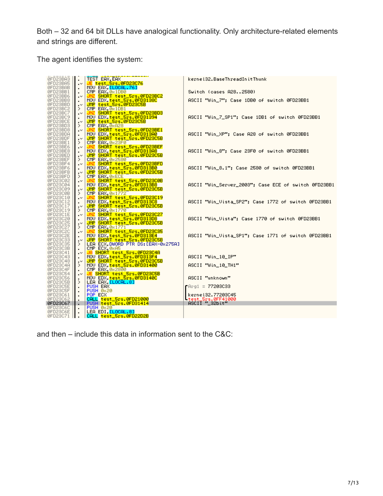Both – 32 and 64 bit DLLs have analogical functionality. Only architecture-related elements and strings are different.

The agent identifies the system:

| <b>ØFD23BA3</b>                                                                              |                                  | TEST EAX, EAX                                                                                                | kernel32.BaseThreadInitThunk                         |
|----------------------------------------------------------------------------------------------|----------------------------------|--------------------------------------------------------------------------------------------------------------|------------------------------------------------------|
| ØFD23BA5                                                                                     | $\cdot$<br>$\mathbf{v}$          |                                                                                                              |                                                      |
|                                                                                              |                                  | JE test 5-5" 0FD23C76<br>MOU EAX,[LOCAL.76]<br>CMP EAX,0x1D80<br>JMZ SHORT test_5rs.0FD23BC2                 |                                                      |
| 0FD23BAB<br>0FD23BB1<br>0FD23BB6                                                             | $\blacksquare$<br>$\blacksquare$ |                                                                                                              | Switch (cases A282580)                               |
|                                                                                              | $\cdot^{\vee}$                   |                                                                                                              |                                                      |
| 0FD23BB8                                                                                     |                                  | MOU EDX, test_5rs.0FD3138C                                                                                   | ASCII "Win_7"; Case 1DB0 of switch 0FD23BB1          |
| ØFD23BBD                                                                                     | $\blacksquare$<br>$\cdot^{\vee}$ |                                                                                                              |                                                      |
|                                                                                              | ≻                                | UMP test_Srs.0FD23C5B<br>CMP EAX,0x1DB1<br>UMZ SHORT test_Srs.0FD23BD3                                       |                                                      |
|                                                                                              | $\cdot^{\vee}$                   |                                                                                                              |                                                      |
| 0FD23BC2<br>0FD23BC7<br>0FD23BC9                                                             | $\blacksquare$                   | MOU EDX, test_5rs.0FD31394                                                                                   | ASCII "Win_7_SP1"; Case 1DB1 of switch 0FD23BB1      |
| ØFD23BCE                                                                                     | $\cdot$ $\cdot$                  |                                                                                                              |                                                      |
| 0FD23BD3<br>0FD23BD8<br>0FD23BDA<br>0FD23BDF                                                 | $\rightarrow$                    | UMP test_Srs.0FD23C5B<br>CMP EAX,0xA28<br><mark>UMZ SHORT test_Srs.0FD23BE1</mark>                           |                                                      |
|                                                                                              | $\overline{\phantom{a}}$         |                                                                                                              |                                                      |
|                                                                                              | $\cdot$                          | MOU EDX, test_Srs.0FD313A0<br>UMP SHORT test_Srs.0FD23C5B                                                    | ASCII "Win_XP": Case A28 of switch 0FD23BB1          |
|                                                                                              | $\cdot$ $\vee$ :                 |                                                                                                              |                                                      |
| ØFD23BE1                                                                                     | $\rightarrow$                    | CMP EAX, 0x23F0<br><mark>UNZ SHORT test_5rs.0FD23BEF</mark>                                                  |                                                      |
| ØFD23BE6                                                                                     | $\cdot^{\vee}$                   |                                                                                                              |                                                      |
| ØFD23BE8                                                                                     | $\cdot$                          | MOV EDX, test_5rs.0FD31388                                                                                   | ASCII "Win_8"; Case 23F0 of switch 0FD23BB1          |
| <b>ØFD23BED</b>                                                                              | $\cdot$ $\vee$ 1                 |                                                                                                              |                                                      |
| ØFD23BEF                                                                                     | ≻                                | UMP SHORT test_Srs.0FD23C5B                                                                                  |                                                      |
| ØFD23BF4                                                                                     | $\cdot^{\vee}$                   |                                                                                                              |                                                      |
| ØFD23BF6                                                                                     |                                  |                                                                                                              | ASCII "Win_8.1"; Case 2580 of switch 0FD23BB1        |
| ØFD23BFB                                                                                     | ∙                                | UNZ SHORT test_5rs.0FD23BFD<br>MOV EDX,test_5rs.0FD313B0<br>UMP SHORT test_5rs.0FD23C5B                      |                                                      |
| 0FD23BFD<br>0FD23C02                                                                         | $\rightarrow$                    | CMP EAX, ØRECE<br>UNZ SHORT test_5rs.0FD23C0B                                                                |                                                      |
|                                                                                              | $\cdot$ $\vee$                   |                                                                                                              |                                                      |
| 0FD23C04                                                                                     |                                  | MOU EDX, test_5rs.0FD313B8                                                                                   | ASCII "Win_Server_2003"; Case ECE of switch 0FD23BB1 |
|                                                                                              | $\cdot$ $\vee$                   | UMP SHORT test_Srs.0FD23C5B<br>CMP EAX,0x1772                                                                |                                                      |
| 0FD23C09<br>0FD23C08<br>0FD23C10<br>0FD23C12                                                 | ≻                                |                                                                                                              |                                                      |
|                                                                                              | $\cdot$ $\cdot$                  | UNZ SHORT test_5rs_0FD23C19                                                                                  |                                                      |
|                                                                                              | $\blacksquare$                   |                                                                                                              | ASCII "Win_Vista_SP2"; Case 1772 of switch 0FD23BB1  |
| 0FD23C17<br>0FD23C19<br>0FD23C1E                                                             | $\sim$                           | MOV EDX,test_Srs.0PD313C8^^<br>JMMP SHORT test_Srs.0PD23C5B<br>CMP EAX,0x1770<br>JMZ SHORT test_Srs.0PD23C27 |                                                      |
|                                                                                              | ≻                                |                                                                                                              |                                                      |
|                                                                                              | $\cdot^{\vee}$                   |                                                                                                              | ASCII "Win_Vista"; Case 1770 of switch 0FD23BB1      |
| 0FD23C20                                                                                     | $\blacksquare$                   | MOV EDX, test_Srs.0FD313D8<br>UMP SHORT test_Srs.0FD23C5B                                                    |                                                      |
|                                                                                              | $\sim$<br>≻                      |                                                                                                              |                                                      |
|                                                                                              | $\cdot$ $\cdot$                  | CMP EAX, 0x1771<br>UNZ SHORT test_5rs.0FD23C35                                                               |                                                      |
|                                                                                              | $\cdot$                          |                                                                                                              | ASCII "Win_Vista_SP1"; Case 1771 of switch 0FD23BB1  |
|                                                                                              | $\cdot$ $\cdot$                  | MOU EDX, test_5rs.0FD313E4<br>UMP SHORT test_5rs.0FD23C5B                                                    |                                                      |
|                                                                                              | $\rightarrow$                    | LEA ECX, DWORD FTR DS: LEAX-0x275AJ                                                                          |                                                      |
|                                                                                              |                                  | CMP_ECX_0xA5                                                                                                 |                                                      |
| 0FD23C25<br>0FD23C2C<br>0FD23C2C<br>0FD23C35<br>0FD23C3B<br>0FD23C41<br>0FD23C41<br>0FD23C41 | $\cdot^{\vee}$                   |                                                                                                              |                                                      |
|                                                                                              | $\blacksquare$                   | UR SHORT test_5rs.0FD23C4R<br>MOV EDX,test_5rs.0FD313F4                                                      | ASCII "Win_10_IP"                                    |
| 0FD23C48                                                                                     | $\cdot$ $\cdot$                  | UMP SHORT test_Srs.0FD23C5B<br>MOV EDX,test_Srs.0FD31400                                                     |                                                      |
|                                                                                              | ≻                                |                                                                                                              | ASCII "Win_10_TH1"                                   |
|                                                                                              |                                  | CMP EAX, 082800                                                                                              |                                                      |
|                                                                                              | $\cdot$ $\cdot$                  |                                                                                                              |                                                      |
|                                                                                              |                                  |                                                                                                              | "ASCII "unknown                                      |
| 0FD23C4F<br>0FD23C54<br>0FD23C56<br>0FD23C5B                                                 | ≻                                | <mark>JE SHORT test Srs.0FD23C5B</mark><br>MOV EDX,test Srs.0FD3140C<br>LEA EAX,LLOCAL.8J                    |                                                      |
| ØFD23C5E                                                                                     |                                  | PUSH EAX                                                                                                     | $F = 77203C33$                                       |
|                                                                                              | $\blacksquare$                   | PUSH 0x20                                                                                                    |                                                      |
| 0FD23C5F<br>0FD23C61<br>0FD23C62                                                             |                                  | POP_ECX                                                                                                      | kerne132.77203045                                    |
|                                                                                              | $\blacksquare$                   | CALL test_5rs.0FD21000                                                                                       | test_5rs.0FF41000                                    |
| 0FD23C67                                                                                     | . .                              | PUSH test_5rs.0FD31414                                                                                       | $ASCII$ "_32bit"                                     |
| 0FD23060                                                                                     |                                  | <b>PUSH 0x20</b>                                                                                             |                                                      |
| ØFD23C6E                                                                                     | $\cdot$                          | LEA EDI, [LOCAL.8]                                                                                           |                                                      |
| 0FD23C71                                                                                     | . .                              | CALL test_5rs.0FD22D2B                                                                                       |                                                      |

and then – include this data in information sent to the C&C: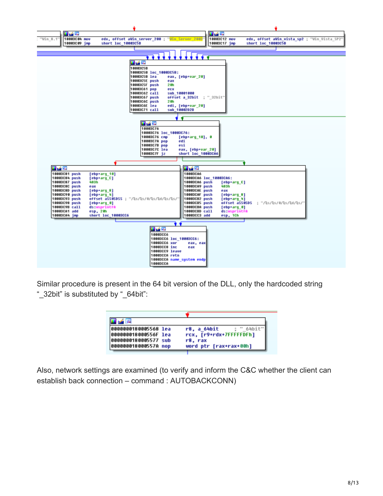

Similar procedure is present in the 64 bit version of the DLL, only the hardcoded string "\_32bit" is substituted by "\_64bit":

| <b>In All Res</b>    |                           |
|----------------------|---------------------------|
| 0000000180005568 lea | : " 64bit"<br>r8, a 64bit |
| 000000018000556F lea | rcx, [r9+rdx+7FFFFFDFh]   |
| 0000000180005577 sub | r8. rax                   |
| 000000018000557A nop | word ptr [rax+rax+00h]    |

Also, network settings are examined (to verify and inform the C&C whether the client can establish back connection – command : AUTOBACKCONN)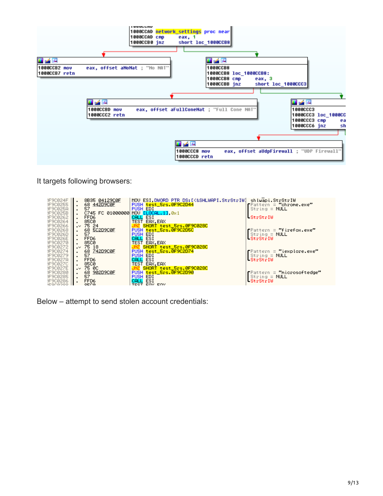

It targets following browsers:

| JF90024F<br>JF900255<br>JF90025A<br>JF90025B<br>JF900262<br>JF9C0264 | 8B35 04129C0F<br>$\cdot$<br>68 442D9C0E<br>ŜŽ<br>C745 FC 01000000<br>FFD <sub>6</sub><br>$\blacksquare$<br>85C0 | MOV ESI.DWORD PTR DS:[<&SHLWAPI.StrStrIW] shlwapi.StrStrIW<br>PUSH test_5rs.0F9C2D44<br>PUSH EDI<br>MOV ELOCAL. 11, 0x1<br>CALL ESI<br>TEST EAX, EAX | Pattern = "chrome.exe"<br>$String = NULL$<br>-StrStrIW                              |
|----------------------------------------------------------------------|-----------------------------------------------------------------------------------------------------------------|------------------------------------------------------------------------------------------------------------------------------------------------------|-------------------------------------------------------------------------------------|
| JF900266<br>JF9C0268<br>JF9C026D<br><b>JF9C026E</b><br>JF900270      | $\sqrt{75}$ 24<br>68 SC2D9C0F<br>57<br>$\blacksquare$<br>FFD <sub>6</sub><br>$\blacksquare$<br>85CØ             | SHORT test_5rs.0F9C028C<br>PUSH test_5rs.0F9C2D5C<br>PUSH EDI<br>CALL ESI<br>TEST EAX.EAX                                                            | $\blacksquare$ Pattern = "firefox.exe"<br>$\text{String} = \text{NULL}$<br>StrStrIW |
| JF900272<br>JF900274<br>JF900279<br>JF90027A<br>JF900270             | $\sqrt{75}$ 18<br>68 742D9C0F<br>57<br>FFD6<br><b>85CØ</b>                                                      | SHORT test_5rs.0F9C028C<br>PUSH test_5rs.0F9C2D74<br><b>PUSH EDI</b><br>CALL ESI<br>TEST EAX, EAX                                                    | Pattern = "iexplore.exe"<br>$\text{String} = \text{NULL}$<br>StrStrIW               |
| JF90027E<br>JF9C0280<br>JF900285<br>JF900286<br><b>AEGOGOOO</b>      | $\sim$ 75 00<br>68 902D9C0F<br>57<br>$\blacksquare$<br>FFD6<br>OECG                                             | JNZ SHORT test_5rs.0F9C028C<br>PUSH test_5rs.0F9C2D90<br>PUSH EDI<br>CALL ESI<br>TEST ENV ENV                                                        | Pattern = "microsoftedge"<br>$String = NULL$<br>StrStrIW                            |

Below – attempt to send stolen account credentials: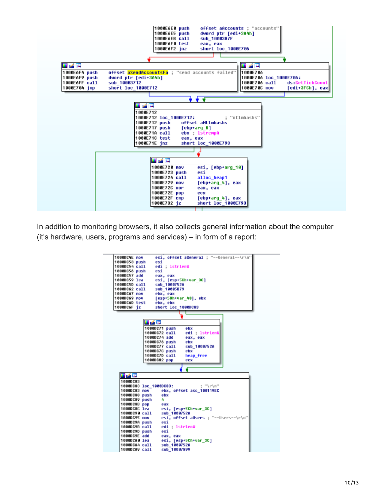

In addition to monitoring browsers, it also collects general information about the computer (it's hardware, users, programs and services) – in form of a report:

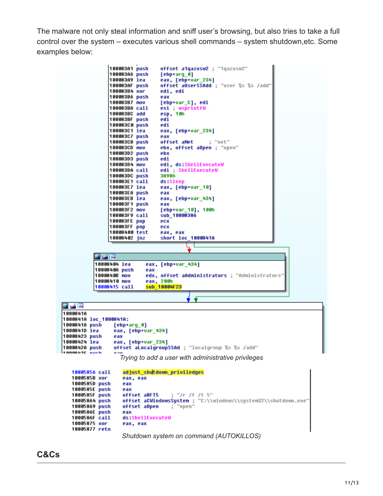The malware not only steal information and sniff user's browsing, but also tries to take a full control over the system – executes various shell commands – system shutdown,etc. Some examples below:

100083A1 push offset a1qazxsw2 ; "1qazxsw2" 100083A6 push  $[ebp+arg 0]$ 100083A9 lea eax, [ebp+var\_234] offset aUserSSAdd ; "user %s %s /add" 100083AF push edi, edi 100083B4 xor 100083B6 push eax 100083B7 nov [ebp+var\_C], edi 100083BA call esi wsprintfW esp, 10h 100083BC add 100083BF push edi 100083C0 push edi 100083C1 lea eax, [ebp+var\_234] 100083C7 push eax 100083C8 push offset aNet ; "net" 100083CD nov ebx, offset aOpen ; "open" 100083D2 push ebx 100083D3 push edi 100083D4 nov edi, ds:ShellExecuteW 100083DA call edi ShellExecuteW 100083DC push 3A98h 100083E1 call ds:Sleep 100083E7 lea eax, [ebp+var\_10] 100083EA push eax 100083EB lea eax, [ebp+var\_434] 100083F1 push eax 100083F2 nov [ebp+var\_10], 100h 100083F9 call sub\_10008386 100083FE pop ecx 100083FF pop ecx 10008400 test eax, eax 10008402 jnz short loc\_1000841A 82 Y 2 10008404 lea eax, [ebp+var\_434] 1000840A push eax edx, offset aAdministrators ; "Administrators" 1000840B nov 10008410 nov eax, 200h<br><mark>sub\_10004F23</mark> 10008415 call 理学图 1000841A 1000841A loc\_1000841A: 1000841A push [ebp+arg\_0] 1000841D lea eax, [ebp+var\_434] 10008423 push eax 10008424 lea eax, [ebp+var\_234] 1000842A push offset aLocalgroupSSAd ; "localgroup %s %s /add" 1888969E nuch *Trying to add a user with administrative privileges* 10005856 call adjust\_shutdown\_priviledges 1000585B xor eax, eax 1000585D push eax 1000585E push eax 1000585F push offset aRFT5 ; "/r /f /t 5" offset aCWindowsSystem ; "C:\\windows\\system32\\shutdown.exe"<br>Offset aCWindowsSystem ; "C:\\windows\\system32\\shutdown.exe" 10005864 push 10005869 push<br>1000586E push eax 1000586F call ds:ShellExecuteW 10005875 xor eax, eax 10005877 retn *Shutdown system on command (AUTOKILLOS)*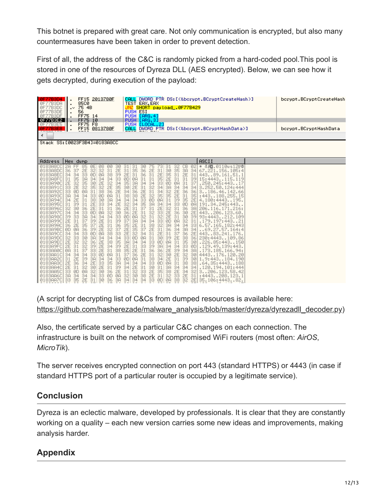This botnet is prepared with great care. Not only communication is encrypted, but also many countermeasures have been taken in order to prevent detection.

First of all, the address of the C&C is randomly picked from a hard-coded pool.This pool is stored in one of the resources of Dyreza DLL (AES encrypted). Below, we can see how it gets decrypted, during execution of the payload:

| FF15 2013780E<br><b>ØF77B3D4</b><br><b>85CØ</b><br>ØF77B3DA<br>$\ddot{\phantom{0}}$<br>0F77B3DC<br>75 4B<br>$\cdot$<br>0F77B3DE<br>56<br>٠<br>0F77B3DF<br>FF75 14<br>$\blacksquare$<br>0F77B3E2<br>FF75 10<br><b>FF75 F8</b><br>0F77B3E5<br>$\blacksquare$<br>FF15 0813780E<br>0F77B3E8<br>$\blacksquare$<br>∢<br>Stack SS: [0023F3B4]=0183A8CC | DWORD PTR DS: [<&bcrypt.BCryptCreateHash>]<br>CALL<br>TEST EAX, EAX<br><mark>JNZ SHORT payload_.0F77B429</mark><br>PUSH ESI<br>PUSH [ARG.4]<br>PUSH [ARG.3]<br>PUSH <mark>[LOCAL.2]</mark><br>CALL DWORD PTR DS:[<&bcrypt.BCryptHashData>] |                                                                              | bcrypt.BCryptCreateHash<br>bcrypt.BCryptHashData |
|-------------------------------------------------------------------------------------------------------------------------------------------------------------------------------------------------------------------------------------------------------------------------------------------------------------------------------------------------|--------------------------------------------------------------------------------------------------------------------------------------------------------------------------------------------------------------------------------------------|------------------------------------------------------------------------------|--------------------------------------------------|
| <b>Address</b><br>Hex dump<br>85<br>0183A8CC<br>2A<br>ØE<br>00<br>08<br>30<br>$\frac{31}{38}$<br>$\frac{2E}{39}$<br>0183A8DC<br>32<br>36                                                                                                                                                                                                        | 30<br>02<br>з<br>з<br>32<br>CВ<br>75<br>з<br>73<br>$\frac{36}{36}$<br>3A<br>34                                                                                                                                                             | ASCII<br>8週.0110us12FB<br>₩<br>67.221.156.105:4                              |                                                  |
| $\frac{32}{98}$<br>25<br>33<br>$\frac{37}{34}$<br>34<br>0183A8EC<br>ØD<br>35<br>2E<br>2E<br>34<br>00200900<br>33<br>0183A8FC<br>31<br>34<br>35<br>2E<br>0183A90C<br>0183A91C<br>30<br>35<br>양<br>33                                                                                                                                             | <b>PE111450</b><br>$\frac{31}{2E}$<br>$\frac{35}{31}$<br>$\frac{31}{35}$<br>30<br>35<br>35<br>931<br>99<br>2E<br>31<br>2E<br>ØD<br>ØA<br>31<br>39<br>35<br>30<br>3B<br>2E<br>ØD<br>31<br>37<br>$\frac{33}{34}$<br>3A<br>34<br>34<br>34     | 44389.161.51.1<br>15:4443115.119<br>.250.245:443.<br>3.252.50.124:444        |                                                  |
| 00<br>34<br>25<br>0183A92C<br>01<br>2008<br>2015<br>33<br>0183A93C<br>$\frac{31}{34}$<br><b>Beseden</b><br>3A<br>$\frac{80}{30}$<br>0183A94C<br>34<br>0183A95C<br>39<br>2E<br>31                                                                                                                                                                | 34<br>36<br>38<br>34<br>36<br>$\frac{38}{34}$<br>35<br>0A<br>35<br>2E<br>$\overline{34}$<br>34<br><b>ØAI</b>                                                                                                                               | 3186.46.142.66<br>: 443. . 188. 255. 15<br>4.180:4443195.<br>191.34.245:443  |                                                  |
| 34<br>33334<br>33332<br>0183A96C<br>$\frac{32}{34}$<br>2E<br>$\frac{36}{30}$<br>0183A97C<br>ØD<br>0183A98C<br>39                                                                                                                                                                                                                                | 32<br>36<br>36<br>00000000<br>9999934<br>2234<br>225<br>$\frac{31}{2E}$<br>3A<br>2E<br>39                                                                                                                                                  | 206.116.171.216:<br>443206.123.60.<br>93:4443212.109                         |                                                  |
| 33<br>38<br>36<br>10000001<br>SORNER SO<br>0183A99C<br>2E<br>36<br>0183A9AC<br>0183A9BC<br>$\frac{37}{34}$<br>ØD.<br>0183A9CC<br>33<br>30<br>$^{00}_{30}$                                                                                                                                                                                       | 33333342EEDQ33333<br>whangoogoogu<br>Boghag<br>common<br>Soft<br>$\frac{34}{31}$<br>37<br>31<br>33<br>34<br>$\frac{54}{98}$<br>2E                                                                                                          | .179.197:443<br>6.57.165.182:443<br>69.27.57.164:4<br>44383.241.176.         |                                                  |
| 34<br>32<br>2E<br>8888888<br>0183A9DC<br>2kg<br>2kg<br>35<br>38<br>38<br>0183A9EC<br>0183A9FC<br>똚<br>0183AA0C                                                                                                                                                                                                                                  | $\frac{1}{2}$<br>36<br>3000000<br>34<br>38<br>38<br>38<br>ØD<br>ØA<br>30 <sub>1</sub><br>ØD<br>3A                                                                                                                                          | 230:4443109.86<br>.226.85:443150<br>. 129. 49. 139: 443.<br>.173.185.166.94: |                                                  |
| 385388<br>$\frac{31}{30}$<br>0183AA1C<br>34<br>$\frac{39}{34}$<br>$\frac{34}{35}$<br>0183AA2C<br>양<br>36<br>31<br>0183AA3C<br>2E<br>2E<br>31<br>39<br>0183AA4C<br>2E                                                                                                                                                                            | 34<br>3332<br>334<br>338<br>37<br>01<br>2020<br>2020<br>2021<br>30<br>$rac{0}{34}$<br>ØA<br>30<br>34<br>38<br>34<br>38<br>34                                                                                                               | 4443176.120.20<br>1.9:443184.190<br>.64.35:4443.188<br>. 120. 194. 101: 444  |                                                  |
| $\frac{30}{34}$<br>$\frac{56}{90}$<br>0183AA5C<br>$\frac{80}{34}$<br>2E<br>ØR<br>$^{00}_{34}$<br>33<br>3A<br>0183AA6C<br>30<br>33<br>35<br>2E<br>31<br>0183AA7C<br>3A<br>36                                                                                                                                                                     | 2E<br>30<br>30<br>$\frac{31}{35}$<br>$\frac{31}{32}$<br>$\frac{38}{32}$<br>32<br>31<br>33 0D 0A<br>38<br>34<br>34<br>34<br>32<br>2E                                                                                                        | 3206.123.58.42<br>: 4443208.123.1<br>35.106:444382.                          |                                                  |

(A script for decrypting list of C&Cs from dumped resources is available here: [https://github.com/hasherezade/malware\\_analysis/blob/master/dyreza/dyrezadll\\_decoder.py\)](https://github.com/hasherezade/malware_analysis/blob/master/dyreza/dyrezadll_decoder.py)

Also, the certificate served by a particular C&C changes on each connection. The infrastructure is built on the network of compromised WiFi routers (most often: *AirOS*, *MicroTik*).

The server receives encrypted connection on port 443 (standard HTTPS) or 4443 (in case if standard HTTPS port of a particular router is occupied by a legitimate service).

# **Conclusion**

Dyreza is an eclectic malware, developed by professionals. It is clear that they are constantly working on a quality – each new version carries some new ideas and improvements, making analysis harder.

# **Appendix**